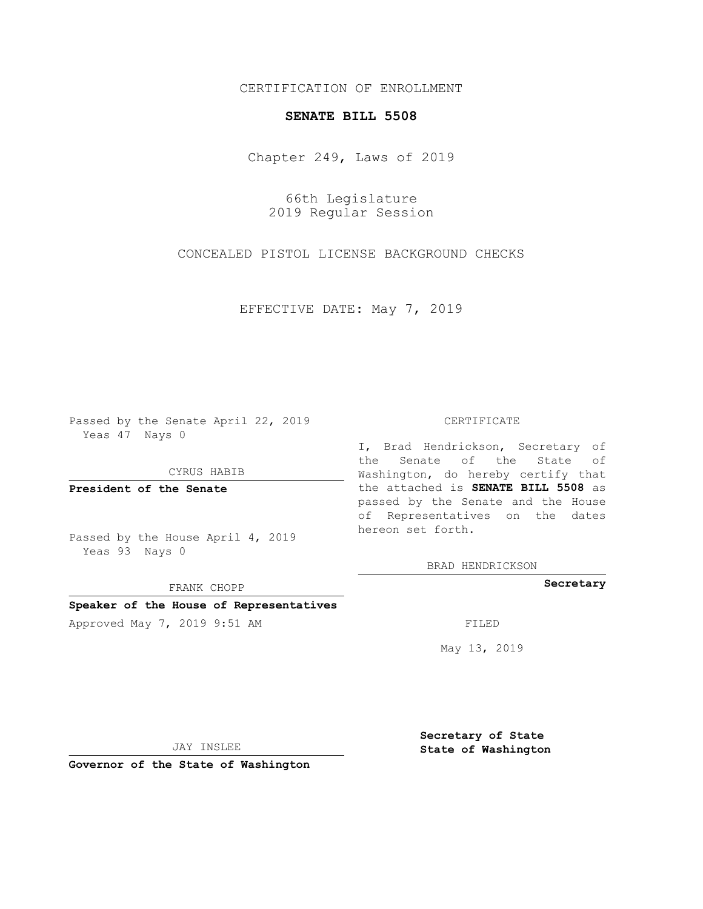## CERTIFICATION OF ENROLLMENT

## **SENATE BILL 5508**

Chapter 249, Laws of 2019

66th Legislature 2019 Regular Session

CONCEALED PISTOL LICENSE BACKGROUND CHECKS

EFFECTIVE DATE: May 7, 2019

Passed by the Senate April 22, 2019 Yeas 47 Nays 0

CYRUS HABIB

**President of the Senate**

Passed by the House April 4, 2019 Yeas 93 Nays 0

FRANK CHOPP

### **Speaker of the House of Representatives**

Approved May 7, 2019 9:51 AM FILED

#### CERTIFICATE

I, Brad Hendrickson, Secretary of the Senate of the State of Washington, do hereby certify that the attached is **SENATE BILL 5508** as passed by the Senate and the House of Representatives on the dates hereon set forth.

BRAD HENDRICKSON

**Secretary**

May 13, 2019

JAY INSLEE

**Governor of the State of Washington**

**Secretary of State State of Washington**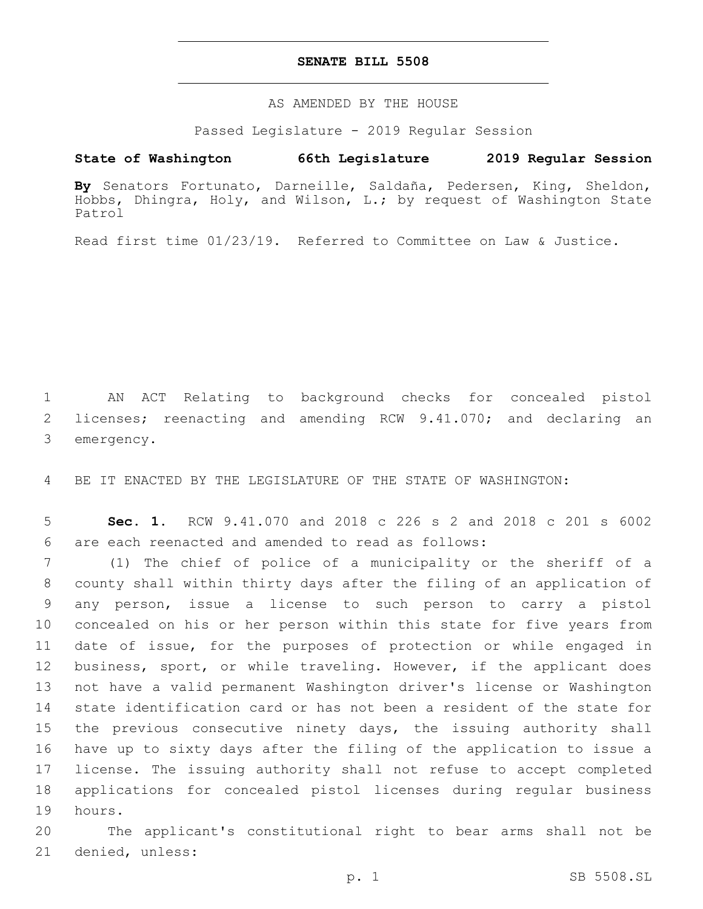## **SENATE BILL 5508**

AS AMENDED BY THE HOUSE

Passed Legislature - 2019 Regular Session

# **State of Washington 66th Legislature 2019 Regular Session**

**By** Senators Fortunato, Darneille, Saldaña, Pedersen, King, Sheldon, Hobbs, Dhingra, Holy, and Wilson, L.; by request of Washington State Patrol

Read first time 01/23/19. Referred to Committee on Law & Justice.

1 AN ACT Relating to background checks for concealed pistol 2 licenses; reenacting and amending RCW 9.41.070; and declaring an 3 emergency.

4 BE IT ENACTED BY THE LEGISLATURE OF THE STATE OF WASHINGTON:

5 **Sec. 1.** RCW 9.41.070 and 2018 c 226 s 2 and 2018 c 201 s 6002 are each reenacted and amended to read as follows:6

 (1) The chief of police of a municipality or the sheriff of a county shall within thirty days after the filing of an application of any person, issue a license to such person to carry a pistol concealed on his or her person within this state for five years from date of issue, for the purposes of protection or while engaged in business, sport, or while traveling. However, if the applicant does not have a valid permanent Washington driver's license or Washington state identification card or has not been a resident of the state for the previous consecutive ninety days, the issuing authority shall have up to sixty days after the filing of the application to issue a license. The issuing authority shall not refuse to accept completed applications for concealed pistol licenses during regular business 19 hours.

20 The applicant's constitutional right to bear arms shall not be 21 denied, unless: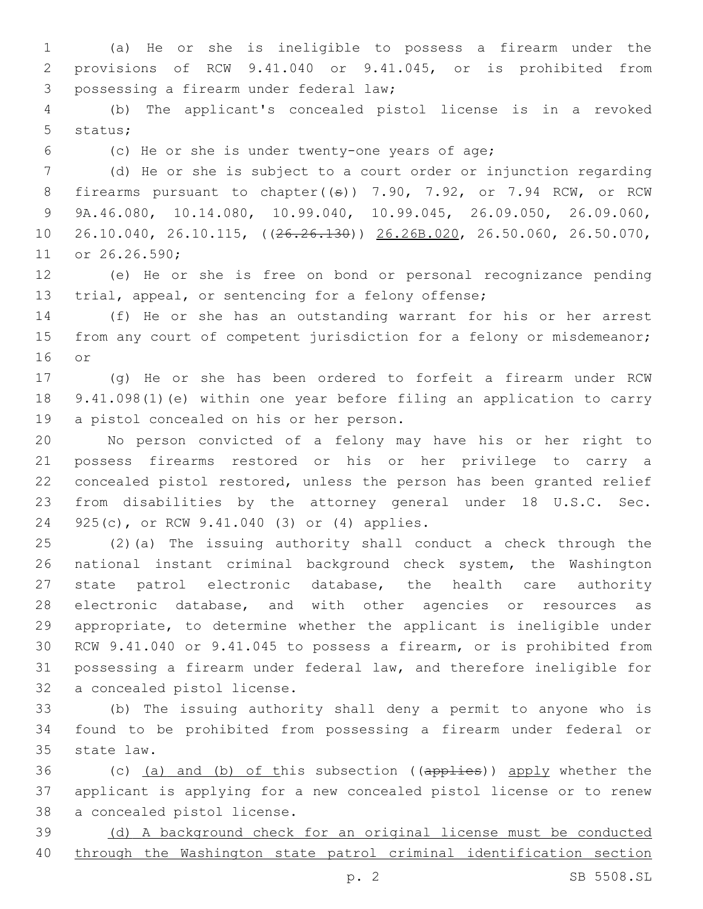(a) He or she is ineligible to possess a firearm under the provisions of RCW 9.41.040 or 9.41.045, or is prohibited from 3 possessing a firearm under federal law;

 (b) The applicant's concealed pistol license is in a revoked 5 status;

(c) He or she is under twenty-one years of age;

 (d) He or she is subject to a court order or injunction regarding 8 firearms pursuant to chapter( $(\theta)$ ) 7.90, 7.92, or 7.94 RCW, or RCW 9A.46.080, 10.14.080, 10.99.040, 10.99.045, 26.09.050, 26.09.060, 26.10.040, 26.10.115, ((26.26.130)) 26.26B.020, 26.50.060, 26.50.070, 11 or 26.26.590;

 (e) He or she is free on bond or personal recognizance pending trial, appeal, or sentencing for a felony offense;

 (f) He or she has an outstanding warrant for his or her arrest 15 from any court of competent jurisdiction for a felony or misdemeanor; or

 (g) He or she has been ordered to forfeit a firearm under RCW 9.41.098(1)(e) within one year before filing an application to carry 19 a pistol concealed on his or her person.

 No person convicted of a felony may have his or her right to possess firearms restored or his or her privilege to carry a concealed pistol restored, unless the person has been granted relief from disabilities by the attorney general under 18 U.S.C. Sec. 24 925(c), or RCW 9.41.040 (3) or (4) applies.

 (2)(a) The issuing authority shall conduct a check through the national instant criminal background check system, the Washington state patrol electronic database, the health care authority electronic database, and with other agencies or resources as appropriate, to determine whether the applicant is ineligible under RCW 9.41.040 or 9.41.045 to possess a firearm, or is prohibited from possessing a firearm under federal law, and therefore ineligible for 32 a concealed pistol license.

 (b) The issuing authority shall deny a permit to anyone who is found to be prohibited from possessing a firearm under federal or 35 state law.

36 (c) (a) and (b) of this subsection ((applies)) apply whether the applicant is applying for a new concealed pistol license or to renew 38 a concealed pistol license.

 (d) A background check for an original license must be conducted through the Washington state patrol criminal identification section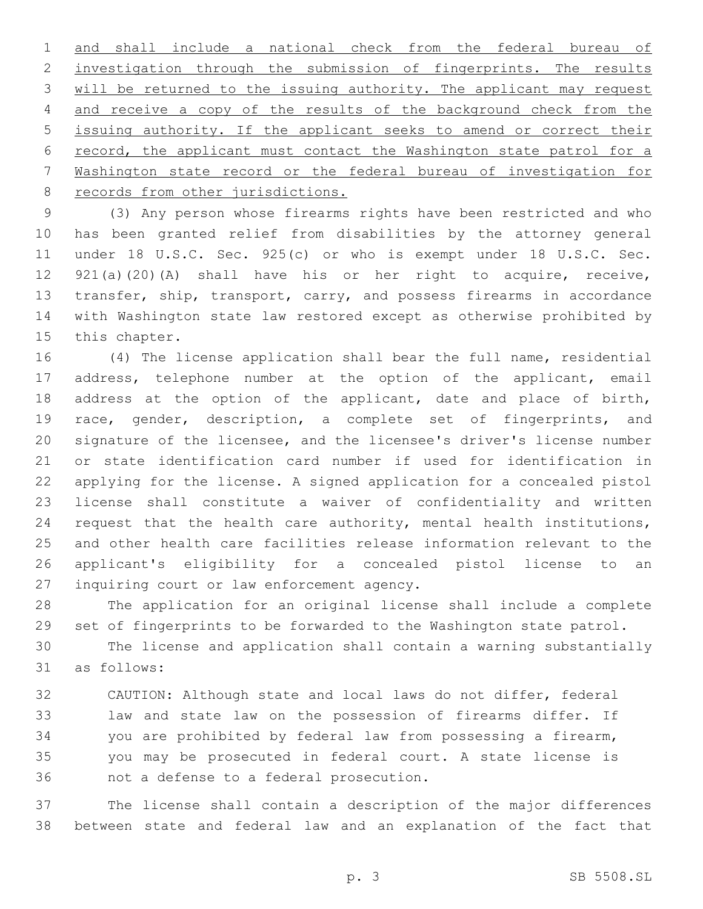and shall include a national check from the federal bureau of 2 investigation through the submission of fingerprints. The results will be returned to the issuing authority. The applicant may request and receive a copy of the results of the background check from the issuing authority. If the applicant seeks to amend or correct their record, the applicant must contact the Washington state patrol for a Washington state record or the federal bureau of investigation for 8 records from other jurisdictions.

 (3) Any person whose firearms rights have been restricted and who has been granted relief from disabilities by the attorney general under 18 U.S.C. Sec. 925(c) or who is exempt under 18 U.S.C. Sec. 921(a)(20)(A) shall have his or her right to acquire, receive, transfer, ship, transport, carry, and possess firearms in accordance with Washington state law restored except as otherwise prohibited by 15 this chapter.

 (4) The license application shall bear the full name, residential address, telephone number at the option of the applicant, email 18 address at the option of the applicant, date and place of birth, race, gender, description, a complete set of fingerprints, and signature of the licensee, and the licensee's driver's license number or state identification card number if used for identification in applying for the license. A signed application for a concealed pistol license shall constitute a waiver of confidentiality and written request that the health care authority, mental health institutions, and other health care facilities release information relevant to the applicant's eligibility for a concealed pistol license to an 27 inquiring court or law enforcement agency.

 The application for an original license shall include a complete set of fingerprints to be forwarded to the Washington state patrol.

 The license and application shall contain a warning substantially 31 as follows:

 CAUTION: Although state and local laws do not differ, federal law and state law on the possession of firearms differ. If you are prohibited by federal law from possessing a firearm, you may be prosecuted in federal court. A state license is 36 mot a defense to a federal prosecution.

 The license shall contain a description of the major differences between state and federal law and an explanation of the fact that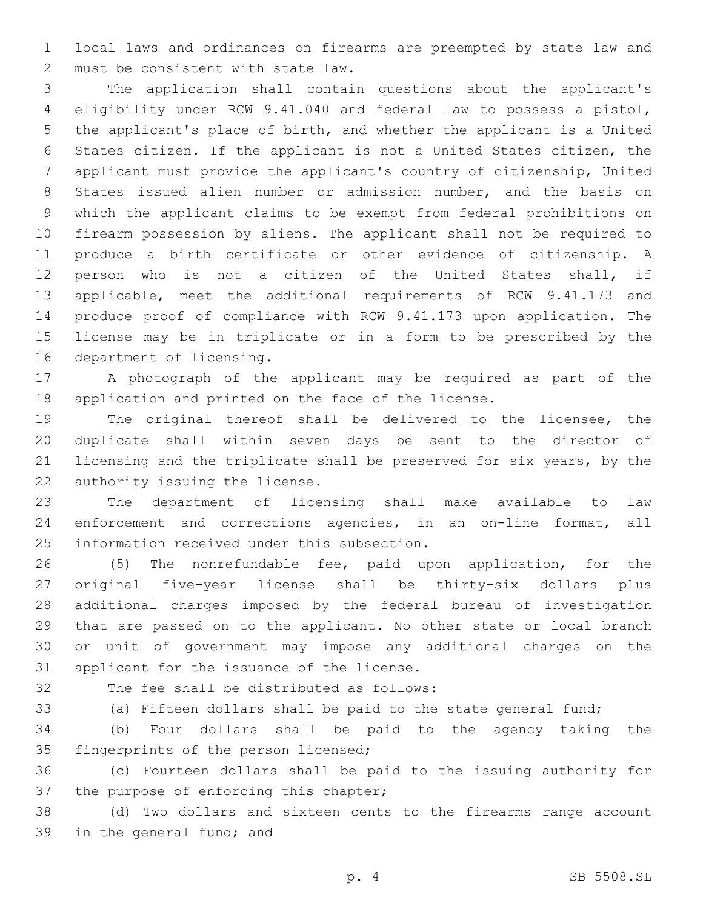local laws and ordinances on firearms are preempted by state law and 2 must be consistent with state law.

 The application shall contain questions about the applicant's eligibility under RCW 9.41.040 and federal law to possess a pistol, the applicant's place of birth, and whether the applicant is a United States citizen. If the applicant is not a United States citizen, the applicant must provide the applicant's country of citizenship, United States issued alien number or admission number, and the basis on which the applicant claims to be exempt from federal prohibitions on firearm possession by aliens. The applicant shall not be required to produce a birth certificate or other evidence of citizenship. A person who is not a citizen of the United States shall, if applicable, meet the additional requirements of RCW 9.41.173 and produce proof of compliance with RCW 9.41.173 upon application. The license may be in triplicate or in a form to be prescribed by the 16 department of licensing.

 A photograph of the applicant may be required as part of the application and printed on the face of the license.

 The original thereof shall be delivered to the licensee, the duplicate shall within seven days be sent to the director of licensing and the triplicate shall be preserved for six years, by the 22 authority issuing the license.

 The department of licensing shall make available to law enforcement and corrections agencies, in an on-line format, all 25 information received under this subsection.

 (5) The nonrefundable fee, paid upon application, for the original five-year license shall be thirty-six dollars plus additional charges imposed by the federal bureau of investigation that are passed on to the applicant. No other state or local branch or unit of government may impose any additional charges on the 31 applicant for the issuance of the license.

32 The fee shall be distributed as follows:

(a) Fifteen dollars shall be paid to the state general fund;

 (b) Four dollars shall be paid to the agency taking the 35 fingerprints of the person licensed;

 (c) Fourteen dollars shall be paid to the issuing authority for 37 the purpose of enforcing this chapter;

 (d) Two dollars and sixteen cents to the firearms range account 39 in the general fund; and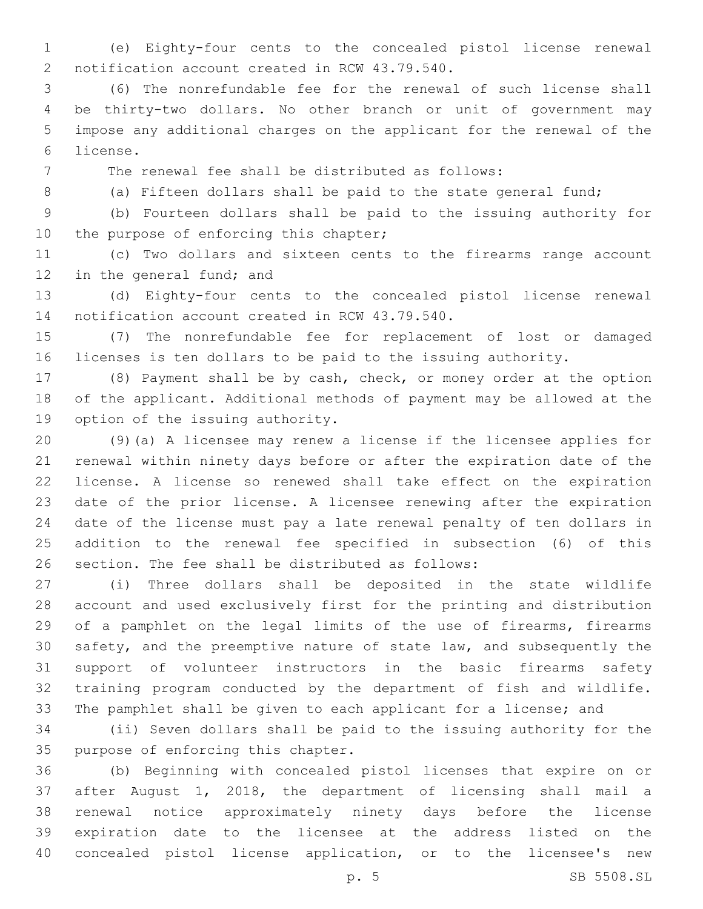(e) Eighty-four cents to the concealed pistol license renewal 2 notification account created in RCW 43.79.540.

 (6) The nonrefundable fee for the renewal of such license shall be thirty-two dollars. No other branch or unit of government may impose any additional charges on the applicant for the renewal of the license.6

The renewal fee shall be distributed as follows:

8 (a) Fifteen dollars shall be paid to the state general fund;

 (b) Fourteen dollars shall be paid to the issuing authority for 10 the purpose of enforcing this chapter;

 (c) Two dollars and sixteen cents to the firearms range account 12 in the general fund; and

 (d) Eighty-four cents to the concealed pistol license renewal 14 notification account created in RCW 43.79.540.

 (7) The nonrefundable fee for replacement of lost or damaged licenses is ten dollars to be paid to the issuing authority.

 (8) Payment shall be by cash, check, or money order at the option of the applicant. Additional methods of payment may be allowed at the 19 option of the issuing authority.

 (9)(a) A licensee may renew a license if the licensee applies for renewal within ninety days before or after the expiration date of the license. A license so renewed shall take effect on the expiration date of the prior license. A licensee renewing after the expiration date of the license must pay a late renewal penalty of ten dollars in addition to the renewal fee specified in subsection (6) of this 26 section. The fee shall be distributed as follows:

 (i) Three dollars shall be deposited in the state wildlife account and used exclusively first for the printing and distribution of a pamphlet on the legal limits of the use of firearms, firearms safety, and the preemptive nature of state law, and subsequently the support of volunteer instructors in the basic firearms safety training program conducted by the department of fish and wildlife. The pamphlet shall be given to each applicant for a license; and

 (ii) Seven dollars shall be paid to the issuing authority for the 35 purpose of enforcing this chapter.

 (b) Beginning with concealed pistol licenses that expire on or after August 1, 2018, the department of licensing shall mail a renewal notice approximately ninety days before the license expiration date to the licensee at the address listed on the concealed pistol license application, or to the licensee's new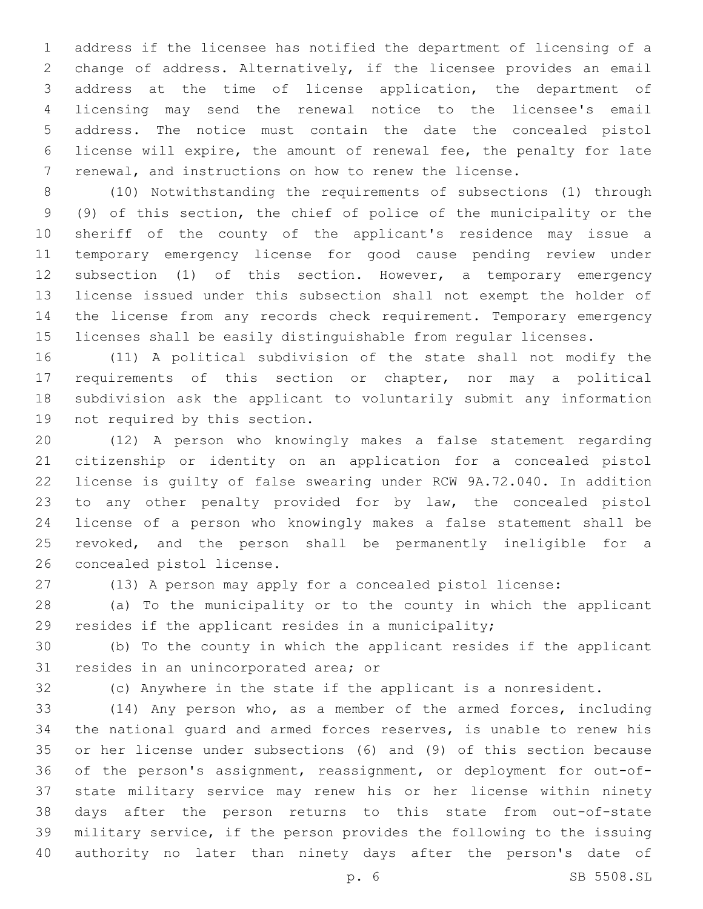address if the licensee has notified the department of licensing of a change of address. Alternatively, if the licensee provides an email address at the time of license application, the department of licensing may send the renewal notice to the licensee's email address. The notice must contain the date the concealed pistol license will expire, the amount of renewal fee, the penalty for late renewal, and instructions on how to renew the license.

 (10) Notwithstanding the requirements of subsections (1) through (9) of this section, the chief of police of the municipality or the sheriff of the county of the applicant's residence may issue a temporary emergency license for good cause pending review under subsection (1) of this section. However, a temporary emergency license issued under this subsection shall not exempt the holder of the license from any records check requirement. Temporary emergency licenses shall be easily distinguishable from regular licenses.

 (11) A political subdivision of the state shall not modify the requirements of this section or chapter, nor may a political subdivision ask the applicant to voluntarily submit any information 19 not required by this section.

 (12) A person who knowingly makes a false statement regarding citizenship or identity on an application for a concealed pistol license is guilty of false swearing under RCW 9A.72.040. In addition to any other penalty provided for by law, the concealed pistol license of a person who knowingly makes a false statement shall be revoked, and the person shall be permanently ineligible for a 26 concealed pistol license.

(13) A person may apply for a concealed pistol license:

 (a) To the municipality or to the county in which the applicant resides if the applicant resides in a municipality;

 (b) To the county in which the applicant resides if the applicant 31 resides in an unincorporated area; or

(c) Anywhere in the state if the applicant is a nonresident.

 (14) Any person who, as a member of the armed forces, including the national guard and armed forces reserves, is unable to renew his or her license under subsections (6) and (9) of this section because of the person's assignment, reassignment, or deployment for out-of- state military service may renew his or her license within ninety days after the person returns to this state from out-of-state military service, if the person provides the following to the issuing authority no later than ninety days after the person's date of